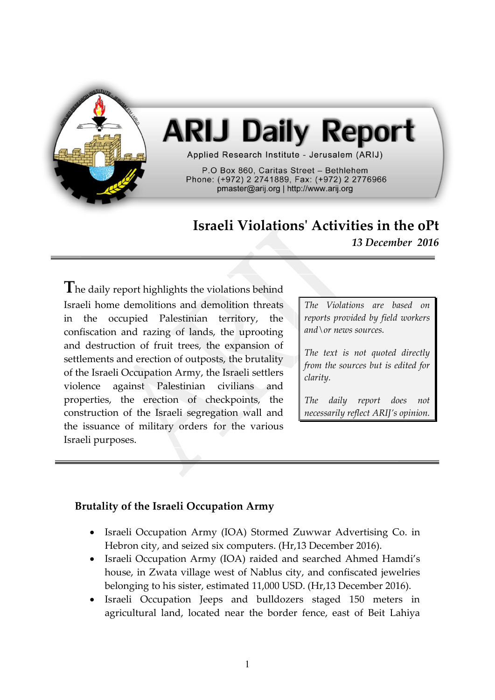

# **ARIJ Daily Report**

Applied Research Institute - Jerusalem (ARIJ)

P.O Box 860. Caritas Street - Bethlehem Phone: (+972) 2 2741889, Fax: (+972) 2 2776966 pmaster@arij.org | http://www.arij.org

# **Israeli Violations' Activities in the oPt**

*13 December 2016*

**T**he daily report highlights the violations behind Israeli home demolitions and demolition threats in the occupied Palestinian territory, the confiscation and razing of lands, the uprooting and destruction of fruit trees, the expansion of settlements and erection of outposts, the brutality of the Israeli Occupation Army, the Israeli settlers violence against Palestinian civilians and properties, the erection of checkpoints, the construction of the Israeli segregation wall and the issuance of military orders for the various Israeli purposes.

*The Violations are based on reports provided by field workers and\or news sources.*

*The text is not quoted directly from the sources but is edited for clarity.*

*The daily report does not necessarily reflect ARIJ's opinion.*

#### **Brutality of the Israeli Occupation Army**

- Israeli Occupation Army (IOA) Stormed Zuwwar Advertising Co. in Hebron city, and seized six computers. (Hr,13 December 2016).
- Israeli Occupation Army (IOA) raided and searched Ahmed Hamdi's house, in Zwata village west of Nablus city, and confiscated jewelries belonging to his sister, estimated 11,000 USD. (Hr,13 December 2016).
- Israeli Occupation Jeeps and bulldozers staged 150 meters in agricultural land, located near the border fence, east of Beit Lahiya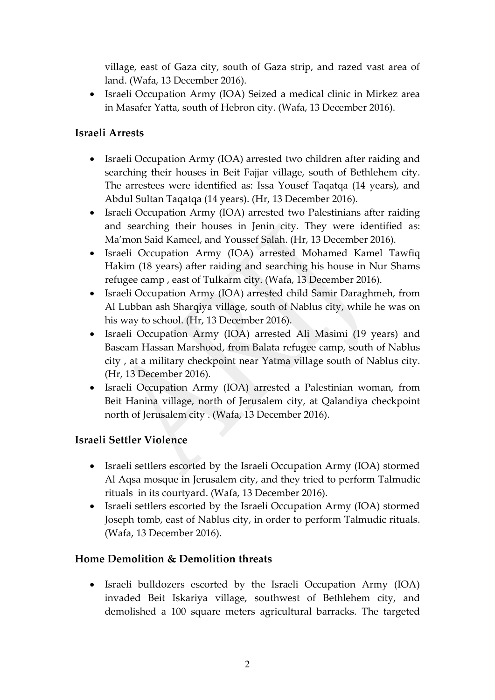village, east of Gaza city, south of Gaza strip, and razed vast area of land. (Wafa, 13 December 2016).

• Israeli Occupation Army (IOA) Seized a medical clinic in Mirkez area in Masafer Yatta, south of Hebron city. (Wafa, 13 December 2016).

#### **Israeli Arrests**

- Israeli Occupation Army (IOA) arrested two children after raiding and searching their houses in Beit Fajjar village, south of Bethlehem city. The arrestees were identified as: Issa Yousef Taqatqa (14 years), and Abdul Sultan Taqatqa (14 years). (Hr, 13 December 2016).
- Israeli Occupation Army (IOA) arrested two Palestinians after raiding and searching their houses in Jenin city. They were identified as: Ma'mon Said Kameel, and Youssef Salah. (Hr, 13 December 2016).
- Israeli Occupation Army (IOA) arrested Mohamed Kamel Tawfiq Hakim (18 years) after raiding and searching his house in Nur Shams refugee camp , east of Tulkarm city. (Wafa, 13 December 2016).
- Israeli Occupation Army (IOA) arrested child Samir Daraghmeh, from Al Lubban ash Sharqiya village, south of Nablus city, while he was on his way to school. (Hr, 13 December 2016).
- Israeli Occupation Army (IOA) arrested Ali Masimi (19 years) and Baseam Hassan Marshood, from Balata refugee camp, south of Nablus city , at a military checkpoint near Yatma village south of Nablus city. (Hr, 13 December 2016).
- Israeli Occupation Army (IOA) arrested a Palestinian woman, from Beit Hanina village, north of Jerusalem city, at Qalandiya checkpoint north of Jerusalem city . (Wafa, 13 December 2016).

#### **Israeli Settler Violence**

- Israeli settlers escorted by the Israeli Occupation Army (IOA) stormed Al Aqsa mosque in Jerusalem city, and they tried to perform Talmudic rituals in its courtyard. (Wafa, 13 December 2016).
- Israeli settlers escorted by the Israeli Occupation Army (IOA) stormed Joseph tomb, east of Nablus city, in order to perform Talmudic rituals. (Wafa, 13 December 2016).

#### **Home Demolition & Demolition threats**

 Israeli bulldozers escorted by the Israeli Occupation Army (IOA) invaded Beit Iskariya village, southwest of Bethlehem city, and demolished a 100 square meters agricultural barracks. The targeted